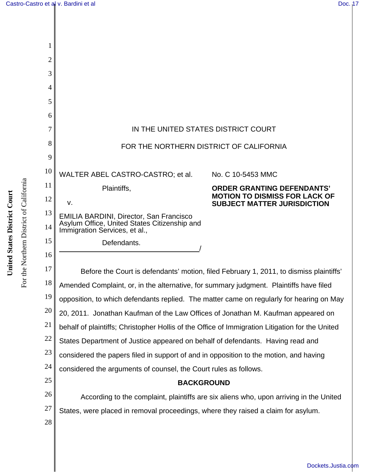| 1        |                                                                                                                          |                                                                            |  |
|----------|--------------------------------------------------------------------------------------------------------------------------|----------------------------------------------------------------------------|--|
| 2        |                                                                                                                          |                                                                            |  |
| 3        |                                                                                                                          |                                                                            |  |
| 4        |                                                                                                                          |                                                                            |  |
| 5        |                                                                                                                          |                                                                            |  |
| 6        |                                                                                                                          |                                                                            |  |
| 7        | IN THE UNITED STATES DISTRICT COURT                                                                                      |                                                                            |  |
| 8        | FOR THE NORTHERN DISTRICT OF CALIFORNIA                                                                                  |                                                                            |  |
| 9        |                                                                                                                          |                                                                            |  |
| 10       | WALTER ABEL CASTRO-CASTRO; et al.                                                                                        | No. C 10-5453 MMC                                                          |  |
| 11       | Plaintiffs,                                                                                                              | <b>ORDER GRANTING DEFENDANTS'</b>                                          |  |
| 12       | V.                                                                                                                       | <b>MOTION TO DISMISS FOR LACK OF</b><br><b>SUBJECT MATTER JURISDICTION</b> |  |
| 13<br>14 | EMILIA BARDINI, Director, San Francisco<br>Asylum Office, United States Citizenship and<br>Immigration Services, et al., |                                                                            |  |
| 15       | Defendants.                                                                                                              |                                                                            |  |
| 16       |                                                                                                                          |                                                                            |  |
| 17       | Before the Court is defendants' motion, filed February 1, 2011, to dismiss plaintiffs'                                   |                                                                            |  |
| 18       | Amended Complaint, or, in the alternative, for summary judgment. Plaintiffs have filed                                   |                                                                            |  |
| 19       | opposition, to which defendants replied. The matter came on regularly for hearing on May                                 |                                                                            |  |
| 20       | 20, 2011. Jonathan Kaufman of the Law Offices of Jonathan M. Kaufman appeared on                                         |                                                                            |  |
| 21       | behalf of plaintiffs; Christopher Hollis of the Office of Immigration Litigation for the United                          |                                                                            |  |
| 22       | States Department of Justice appeared on behalf of defendants. Having read and                                           |                                                                            |  |
| 23       | considered the papers filed in support of and in opposition to the motion, and having                                    |                                                                            |  |
| 24       | considered the arguments of counsel, the Court rules as follows.                                                         |                                                                            |  |
| 25       | <b>BACKGROUND</b>                                                                                                        |                                                                            |  |
| 26       | According to the complaint, plaintiffs are six aliens who, upon arriving in the United                                   |                                                                            |  |
| 27       | States, were placed in removal proceedings, where they raised a claim for asylum.                                        |                                                                            |  |

For the Northern District of California

28

[Dockets.Justia.com](http://dockets.justia.com/)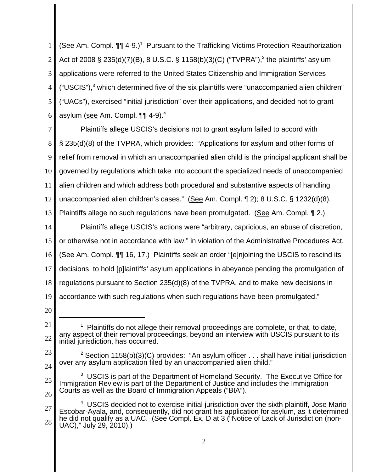1 2 3 4 5 6 (See Am. Compl. 11 4-9.)<sup>1</sup> Pursuant to the Trafficking Victims Protection Reauthorization Act of 2008 § 235(d)(7)(B), 8 U.S.C. § 1158(b)(3)(C) ("TVPRA"),<sup>2</sup> the plaintiffs' asylum applications were referred to the United States Citizenship and Immigration Services  $("USCIS"),$ <sup>3</sup> which determined five of the six plaintiffs were "unaccompanied alien children" ("UACs"), exercised "initial jurisdiction" over their applications, and decided not to grant asylum (see Am. Compl. **¶1** 4-9).<sup>4</sup>

7 8 9 10 11 12 13 14 15 16 17 18 19 Plaintiffs allege USCIS's decisions not to grant asylum failed to accord with § 235(d)(8) of the TVPRA, which provides: "Applications for asylum and other forms of relief from removal in which an unaccompanied alien child is the principal applicant shall be governed by regulations which take into account the specialized needs of unaccompanied alien children and which address both procedural and substantive aspects of handling unaccompanied alien children's cases." (See Am. Compl. ¶ 2); 8 U.S.C. § 1232(d)(8). Plaintiffs allege no such regulations have been promulgated. (See Am. Compl. 12.) Plaintiffs allege USCIS's actions were "arbitrary, capricious, an abuse of discretion, or otherwise not in accordance with law," in violation of the Administrative Procedures Act. (See Am. Compl. ¶¶ 16, 17.) Plaintiffs seek an order "[e]njoining the USCIS to rescind its decisions, to hold [p]laintiffs' asylum applications in abeyance pending the promulgation of regulations pursuant to Section 235(d)(8) of the TVPRA, and to make new decisions in accordance with such regulations when such regulations have been promulgated."

<sup>21</sup> 22  $1$  Plaintiffs do not allege their removal proceedings are complete, or that, to date, any aspect of their removal proceedings, beyond an interview with USCIS pursuant to its initial jurisdiction, has occurred.

<sup>23</sup> 24 <sup>2</sup> Section 1158(b)(3)(C) provides: "An asylum officer  $\dots$  shall have initial jurisdiction over any asylum application filed by an unaccompanied alien child."

<sup>25</sup> 26  $3$  USCIS is part of the Department of Homeland Security. The Executive Office for Immigration Review is part of the Department of Justice and includes the Immigration Courts as well as the Board of Immigration Appeals ("BIA").

<sup>27</sup> 28 <sup>4</sup> USCIS decided not to exercise initial jurisdiction over the sixth plaintiff, Jose Mario Escobar-Ayala, and, consequently, did not grant his application for asylum, as it determined he did not qualify as a UAC. (See Compl. Ex. D at 3 ("Notice of Lack of Jurisdiction (non-UAC)," July 29, 2010).)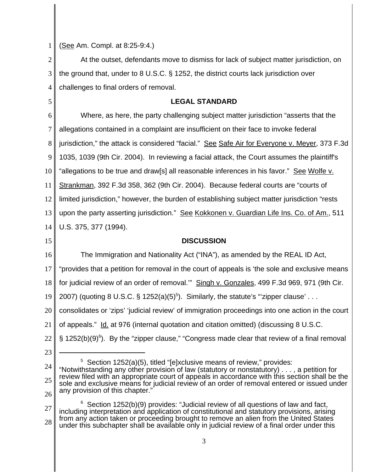|  |  |  | 1   (See Am. Compl. at 8:25-9:4.) |
|--|--|--|-----------------------------------|
|--|--|--|-----------------------------------|

2 3 4 At the outset, defendants move to dismiss for lack of subject matter jurisdiction, on the ground that, under to 8 U.S.C. § 1252, the district courts lack jurisdiction over challenges to final orders of removal.

## **LEGAL STANDARD**

6 7 8 9 10 11 12 13 14 Where, as here, the party challenging subject matter jurisdiction "asserts that the allegations contained in a complaint are insufficient on their face to invoke federal jurisdiction," the attack is considered "facial." See Safe Air for Everyone v. Meyer, 373 F.3d 1035, 1039 (9th Cir. 2004). In reviewing a facial attack, the Court assumes the plaintiff's "allegations to be true and draw[s] all reasonable inferences in his favor." See Wolfe v. Strankman, 392 F.3d 358, 362 (9th Cir. 2004). Because federal courts are "courts of limited jurisdiction," however, the burden of establishing subject matter jurisdiction "rests upon the party asserting jurisdiction." See Kokkonen v. Guardian Life Ins. Co. of Am., 511 U.S. 375, 377 (1994).

## 15

16

5

## **DISCUSSION**

The Immigration and Nationality Act ("INA"), as amended by the REAL ID Act,

17 "provides that a petition for removal in the court of appeals is 'the sole and exclusive means

18 for judicial review of an order of removal.'" Singh v. Gonzales, 499 F.3d 969, 971 (9th Cir.

19 2007) (quoting 8 U.S.C. § 1252(a)(5)<sup>5</sup>). Similarly, the statute's ""zipper clause'...

20 consolidates or 'zips' 'judicial review' of immigration proceedings into one action in the court

- 21 of appeals." Id. at 976 (internal quotation and citation omitted) (discussing 8 U.S.C.
- 22 § 1252(b)(9)<sup>6</sup>). By the "zipper clause," "Congress made clear that review of a final removal
	- 23

<sup>5</sup> Section 1252(a)(5), titled "[e]xclusive means of review," provides:

27 28  $6$  Section 1252(b)(9) provides: "Judicial review of all questions of law and fact, including interpretation and application of constitutional and statutory provisions, arising from any action taken or proceeding brought to remove an alien from the United States under this subchapter shall be available only in judicial review of a final order under this

<sup>24</sup> 25 26 "Notwithstanding any other provision of law (statutory or nonstatutory) . . . , a petition for review filed with an appropriate court of appeals in accordance with this section shall be the sole and exclusive means for judicial review of an order of removal entered or issued under any provision of this chapter."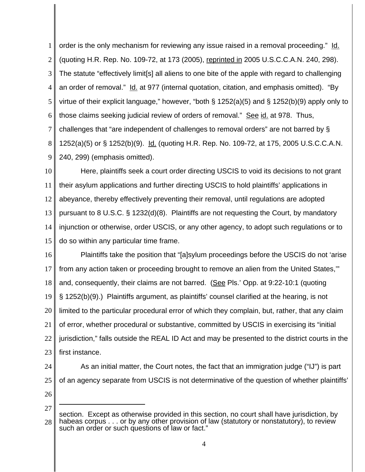1 2 3 4 5 6 7 8 9 order is the only mechanism for reviewing any issue raised in a removal proceeding." Id. (quoting H.R. Rep. No. 109-72, at 173 (2005), reprinted in 2005 U.S.C.C.A.N. 240, 298). The statute "effectively limit[s] all aliens to one bite of the apple with regard to challenging an order of removal." Id. at 977 (internal quotation, citation, and emphasis omitted). "By virtue of their explicit language," however, "both § 1252(a)(5) and § 1252(b)(9) apply only to those claims seeking judicial review of orders of removal." See id. at 978. Thus, challenges that "are independent of challenges to removal orders" are not barred by § 1252(a)(5) or § 1252(b)(9). Id. (quoting H.R. Rep. No. 109-72, at 175, 2005 U.S.C.C.A.N. 240, 299) (emphasis omitted).

10 11 12 13 14 15 Here, plaintiffs seek a court order directing USCIS to void its decisions to not grant their asylum applications and further directing USCIS to hold plaintiffs' applications in abeyance, thereby effectively preventing their removal, until regulations are adopted pursuant to 8 U.S.C. § 1232(d)(8). Plaintiffs are not requesting the Court, by mandatory injunction or otherwise, order USCIS, or any other agency, to adopt such regulations or to do so within any particular time frame.

16 17 18 19 20 21 22 23 Plaintiffs take the position that "[a]sylum proceedings before the USCIS do not 'arise from any action taken or proceeding brought to remove an alien from the United States,'" and, consequently, their claims are not barred. (See Pls.' Opp. at 9:22-10:1 (quoting § 1252(b)(9).) Plaintiffs argument, as plaintiffs' counsel clarified at the hearing, is not limited to the particular procedural error of which they complain, but, rather, that any claim of error, whether procedural or substantive, committed by USCIS in exercising its "initial jurisdiction," falls outside the REAL ID Act and may be presented to the district courts in the first instance.

24

25 As an initial matter, the Court notes, the fact that an immigration judge ("IJ") is part of an agency separate from USCIS is not determinative of the question of whether plaintiffs'

<sup>27</sup> 28 section. Except as otherwise provided in this section, no court shall have jurisdiction, by habeas corpus . . . or by any other provision of law (statutory or nonstatutory), to review such an order or such questions of law or fact."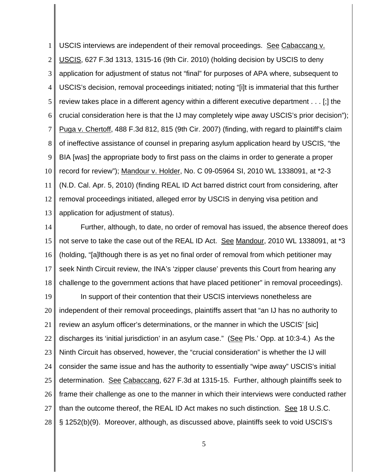1 2 3 4 5 6 7 8 9 10 11 12 13 USCIS interviews are independent of their removal proceedings. See Cabaccang v. USCIS, 627 F.3d 1313, 1315-16 (9th Cir. 2010) (holding decision by USCIS to deny application for adjustment of status not "final" for purposes of APA where, subsequent to USCIS's decision, removal proceedings initiated; noting "[i]t is immaterial that this further review takes place in a different agency within a different executive department . . . [;] the crucial consideration here is that the IJ may completely wipe away USCIS's prior decision"); Puga v. Chertoff, 488 F.3d 812, 815 (9th Cir. 2007) (finding, with regard to plaintiff's claim of ineffective assistance of counsel in preparing asylum application heard by USCIS, "the BIA [was] the appropriate body to first pass on the claims in order to generate a proper record for review"); Mandour v. Holder, No. C 09-05964 SI, 2010 WL 1338091, at \*2-3 (N.D. Cal. Apr. 5, 2010) (finding REAL ID Act barred district court from considering, after removal proceedings initiated, alleged error by USCIS in denying visa petition and application for adjustment of status).

14 15 16 17 18 Further, although, to date, no order of removal has issued, the absence thereof does not serve to take the case out of the REAL ID Act. See Mandour, 2010 WL 1338091, at \*3 (holding, "[a]lthough there is as yet no final order of removal from which petitioner may seek Ninth Circuit review, the INA's 'zipper clause' prevents this Court from hearing any challenge to the government actions that have placed petitioner" in removal proceedings).

19 20 21 22 23 24 25 26 27 28 In support of their contention that their USCIS interviews nonetheless are independent of their removal proceedings, plaintiffs assert that "an IJ has no authority to review an asylum officer's determinations, or the manner in which the USCIS' [sic] discharges its 'initial jurisdiction' in an asylum case." (See Pls.' Opp. at 10:3-4.) As the Ninth Circuit has observed, however, the "crucial consideration" is whether the IJ will consider the same issue and has the authority to essentially "wipe away" USCIS's initial determination. See Cabaccang, 627 F.3d at 1315-15. Further, although plaintiffs seek to frame their challenge as one to the manner in which their interviews were conducted rather than the outcome thereof, the REAL ID Act makes no such distinction. See 18 U.S.C. § 1252(b)(9). Moreover, although, as discussed above, plaintiffs seek to void USCIS's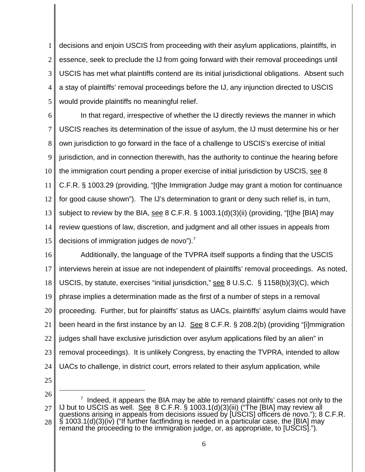1 2 3 4 5 decisions and enjoin USCIS from proceeding with their asylum applications, plaintiffs, in essence, seek to preclude the IJ from going forward with their removal proceedings until USCIS has met what plaintiffs contend are its initial jurisdictional obligations. Absent such a stay of plaintiffs' removal proceedings before the IJ, any injunction directed to USCIS would provide plaintiffs no meaningful relief.

6 7 8 9 10 11 12 13 14 15 In that regard, irrespective of whether the IJ directly reviews the manner in which USCIS reaches its determination of the issue of asylum, the IJ must determine his or her own jurisdiction to go forward in the face of a challenge to USCIS's exercise of initial jurisdiction, and in connection therewith, has the authority to continue the hearing before the immigration court pending a proper exercise of initial jurisdiction by USCIS, see 8 C.F.R. § 1003.29 (providing, "[t]he Immigration Judge may grant a motion for continuance for good cause shown"). The IJ's determination to grant or deny such relief is, in turn, subject to review by the BIA, see 8 C.F.R. § 1003.1(d)(3)(ii) (providing, "[t]he [BIA] may review questions of law, discretion, and judgment and all other issues in appeals from decisions of immigration judges de novo"). $<sup>7</sup>$ </sup>

16 17 18 19 20 21 22 23 24 Additionally, the language of the TVPRA itself supports a finding that the USCIS interviews herein at issue are not independent of plaintiffs' removal proceedings. As noted, USCIS, by statute, exercises "initial jurisdiction," see 8 U.S.C. § 1158(b)(3)(C), which phrase implies a determination made as the first of a number of steps in a removal proceeding. Further, but for plaintiffs' status as UACs, plaintiffs' asylum claims would have been heard in the first instance by an IJ. See 8 C.F.R. § 208.2(b) (providing "[i]mmigration judges shall have exclusive jurisdiction over asylum applications filed by an alien" in removal proceedings). It is unlikely Congress, by enacting the TVPRA, intended to allow UACs to challenge, in district court, errors related to their asylum application, while

25

26 27 28  $7$  Indeed, it appears the BIA may be able to remand plaintiffs' cases not only to the IJ but to USCIS as well. See 8 C.F.R. § 1003.1(d)(3)(iii) ("The [BIA] may review all questions arising in appeals from decisions issued by [USCIS] officers de novo."); 8 C.F.R.  $\hat{\mathcal{S}}$  1003.1(d)(3)(iv) ("If further factfinding is needed in a particular case, the [BIA] may remand the proceeding to the immigration judge, or, as appropriate, to [USCIS].").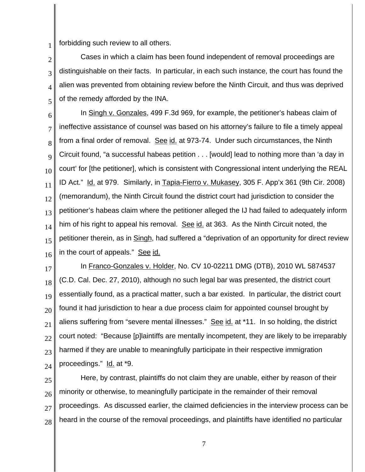1 forbidding such review to all others.

2 3 4 5 Cases in which a claim has been found independent of removal proceedings are distinguishable on their facts. In particular, in each such instance, the court has found the alien was prevented from obtaining review before the Ninth Circuit, and thus was deprived of the remedy afforded by the INA.

6 7 8 9 10 11 12 13 14 15 16 In Singh v. Gonzales, 499 F.3d 969, for example, the petitioner's habeas claim of ineffective assistance of counsel was based on his attorney's failure to file a timely appeal from a final order of removal. See id. at 973-74. Under such circumstances, the Ninth Circuit found, "a successful habeas petition . . . [would] lead to nothing more than 'a day in court' for [the petitioner], which is consistent with Congressional intent underlying the REAL ID Act." Id. at 979. Similarly, in Tapia-Fierro v. Mukasey, 305 F. App'x 361 (9th Cir. 2008) (memorandum), the Ninth Circuit found the district court had jurisdiction to consider the petitioner's habeas claim where the petitioner alleged the IJ had failed to adequately inform him of his right to appeal his removal. See id. at 363. As the Ninth Circuit noted, the petitioner therein, as in Singh, had suffered a "deprivation of an opportunity for direct review in the court of appeals." See id.

17 18 19 20 21 22 23 24 In Franco-Gonzales v. Holder, No. CV 10-02211 DMG (DTB), 2010 WL 5874537 (C.D. Cal. Dec. 27, 2010), although no such legal bar was presented, the district court essentially found, as a practical matter, such a bar existed. In particular, the district court found it had jurisdiction to hear a due process claim for appointed counsel brought by aliens suffering from "severe mental illnesses." See id. at \*11. In so holding, the district court noted: "Because [p]laintiffs are mentally incompetent, they are likely to be irreparably harmed if they are unable to meaningfully participate in their respective immigration proceedings." Id. at \*9.

25 26 27 28 Here, by contrast, plaintiffs do not claim they are unable, either by reason of their minority or otherwise, to meaningfully participate in the remainder of their removal proceedings. As discussed earlier, the claimed deficiencies in the interview process can be heard in the course of the removal proceedings, and plaintiffs have identified no particular